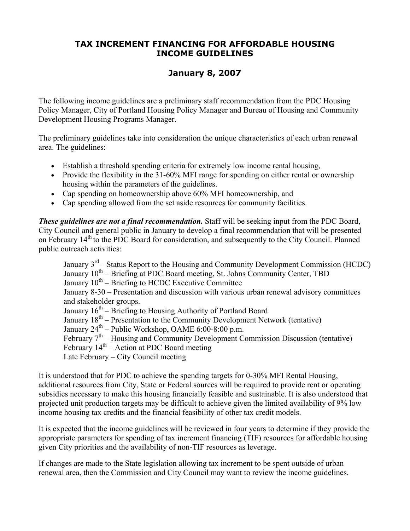# **TAX INCREMENT FINANCING FOR AFFORDABLE HOUSING INCOME GUIDELINES**

# **January 8, 2007**

The following income guidelines are a preliminary staff recommendation from the PDC Housing Policy Manager, City of Portland Housing Policy Manager and Bureau of Housing and Community Development Housing Programs Manager.

The preliminary guidelines take into consideration the unique characteristics of each urban renewal area. The guidelines:

- Establish a threshold spending criteria for extremely low income rental housing,
- Provide the flexibility in the 31-60% MFI range for spending on either rental or ownership housing within the parameters of the guidelines.
- Cap spending on homeownership above 60% MFI homeownership, and
- Cap spending allowed from the set aside resources for community facilities.

**These guidelines are not a final recommendation.** Staff will be seeking input from the PDC Board, City Council and general public in January to develop a final recommendation that will be presented on February 14<sup>th</sup> to the PDC Board for consideration, and subsequently to the City Council. Planned public outreach activities:

January  $3<sup>rd</sup>$  – Status Report to the Housing and Community Development Commission (HCDC) January  $10^{th}$  – Briefing at PDC Board meeting, St. Johns Community Center, TBD January  $10^{th}$  – Briefing to HCDC Executive Committee January 8-30 – Presentation and discussion with various urban renewal advisory committees and stakeholder groups. January  $16<sup>th</sup>$  – Briefing to Housing Authority of Portland Board January 18th – Presentation to the Community Development Network (tentative) January  $24^{th}$  – Public Workshop, OAME 6:00-8:00 p.m. February  $7<sup>th</sup>$  – Housing and Community Development Commission Discussion (tentative) February  $14<sup>th</sup>$  – Action at PDC Board meeting Late February – City Council meeting

It is understood that for PDC to achieve the spending targets for 0-30% MFI Rental Housing, additional resources from City, State or Federal sources will be required to provide rent or operating subsidies necessary to make this housing financially feasible and sustainable. It is also understood that projected unit production targets may be difficult to achieve given the limited availability of 9% low income housing tax credits and the financial feasibility of other tax credit models.

It is expected that the income guidelines will be reviewed in four years to determine if they provide the appropriate parameters for spending of tax increment financing (TIF) resources for affordable housing given City priorities and the availability of non-TIF resources as leverage.

If changes are made to the State legislation allowing tax increment to be spent outside of urban renewal area, then the Commission and City Council may want to review the income guidelines.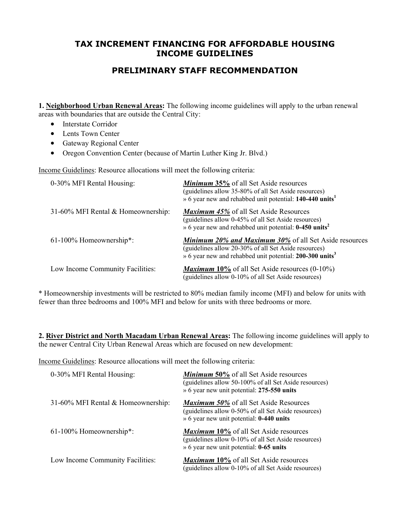## **TAX INCREMENT FINANCING FOR AFFORDABLE HOUSING INCOME GUIDELINES**

# **PRELIMINARY STAFF RECOMMENDATION**

**1. Neighborhood Urban Renewal Areas:** The following income guidelines will apply to the urban renewal areas with boundaries that are outside the Central City:

- Interstate Corridor
- Lents Town Center
- Gateway Regional Center
- Oregon Convention Center (because of Martin Luther King Jr. Blvd.)

Income Guidelines: Resource allocations will meet the following criteria:

| 0-30% MFI Rental Housing:          | <b>Minimum 35%</b> of all Set Aside resources<br>(guidelines allow 35-80% of all Set Aside resources)<br>» 6 year new and rehabbed unit potential: 140-440 units <sup>1</sup>                 |
|------------------------------------|-----------------------------------------------------------------------------------------------------------------------------------------------------------------------------------------------|
| 31-60% MFI Rental & Homeownership: | <b>Maximum 45% of all Set Aside Resources</b><br>(guidelines allow 0-45% of all Set Aside resources)<br>$\frac{6}{x}$ 6 year new and rehabbed unit potential: 0-450 units <sup>2</sup>        |
| $61-100\%$ Homeownership*:         | <b>Minimum 20% and Maximum 30% of all Set Aside resources</b><br>(guidelines allow 20-30% of all Set Aside resources)<br>» 6 year new and rehabbed unit potential: 200-300 units <sup>3</sup> |
| Low Income Community Facilities:   | <b>Maximum 10%</b> of all Set Aside resources $(0-10\%)$<br>(guidelines allow 0-10% of all Set Aside resources)                                                                               |

\* Homeownership investments will be restricted to 80% median family income (MFI) and below for units with fewer than three bedrooms and 100% MFI and below for units with three bedrooms or more.

**2. River District and North Macadam Urban Renewal Areas:** The following income guidelines will apply to the newer Central City Urban Renewal Areas which are focused on new development:

Income Guidelines: Resource allocations will meet the following criteria:

| 0-30% MFI Rental Housing:          | <b>Minimum 50%</b> of all Set Aside resources<br>(guidelines allow 50-100% of all Set Aside resources)<br>» 6 year new unit potential: 275-550 units         |
|------------------------------------|--------------------------------------------------------------------------------------------------------------------------------------------------------------|
| 31-60% MFI Rental & Homeownership: | <i>Maximum 50%</i> of all Set Aside Resources<br>(guidelines allow 0-50% of all Set Aside resources)<br>$\rightarrow$ 6 year new unit potential: 0-440 units |
| 61-100% Homeownership*:            | <b>Maximum 10%</b> of all Set Aside resources<br>(guidelines allow 0-10% of all Set Aside resources)<br>» 6 year new unit potential: <b>0-65 units</b>       |
| Low Income Community Facilities:   | <b>Maximum 10%</b> of all Set Aside resources<br>(guidelines allow 0-10% of all Set Aside resources)                                                         |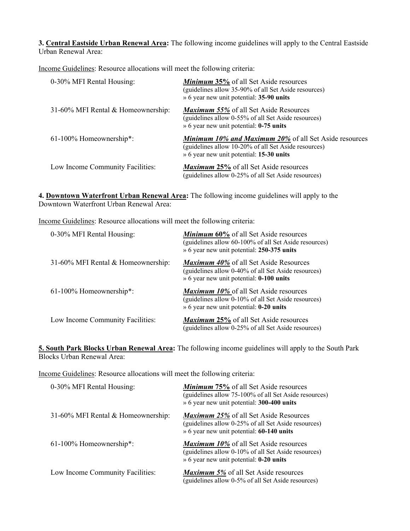**3. Central Eastside Urban Renewal Area:** The following income guidelines will apply to the Central Eastside Urban Renewal Area:

Income Guidelines: Resource allocations will meet the following criteria:

| 0-30% MFI Rental Housing:          | <b>Minimum 35%</b> of all Set Aside resources<br>(guidelines allow 35-90% of all Set Aside resources)<br>» 6 year new unit potential: 35-90 units                 |
|------------------------------------|-------------------------------------------------------------------------------------------------------------------------------------------------------------------|
| 31-60% MFI Rental & Homeownership: | <b>Maximum 55%</b> of all Set Aside Resources<br>(guidelines allow 0-55% of all Set Aside resources)<br>» 6 year new unit potential: 0-75 units                   |
| 61-100% Homeownership*:            | <b>Minimum 10% and Maximum 20% of all Set Aside resources</b><br>(guidelines allow 10-20% of all Set Aside resources)<br>» 6 year new unit potential: 15-30 units |
| Low Income Community Facilities:   | <b>Maximum 25%</b> of all Set Aside resources<br>(guidelines allow 0-25% of all Set Aside resources)                                                              |

**4. Downtown Waterfront Urban Renewal Area:** The following income guidelines will apply to the Downtown Waterfront Urban Renewal Area:

Income Guidelines: Resource allocations will meet the following criteria:

| 0-30% MFI Rental Housing:          | <b>Minimum 60%</b> of all Set Aside resources<br>(guidelines allow 60-100% of all Set Aside resources)<br>» 6 year new unit potential: 250-375 units    |
|------------------------------------|---------------------------------------------------------------------------------------------------------------------------------------------------------|
| 31-60% MFI Rental & Homeownership: | <b>Maximum 40%</b> of all Set Aside Resources<br>(guidelines allow 0-40% of all Set Aside resources)<br>» 6 year new unit potential: <b>0-100 units</b> |
| 61-100% Homeownership*:            | <b>Maximum 10%</b> of all Set Aside resources<br>(guidelines allow 0-10% of all Set Aside resources)<br>» 6 year new unit potential: <b>0-20 units</b>  |
| Low Income Community Facilities:   | <b>Maximum 25%</b> of all Set Aside resources<br>(guidelines allow 0-25% of all Set Aside resources)                                                    |

**5. South Park Blocks Urban Renewal Area:** The following income guidelines will apply to the South Park Blocks Urban Renewal Area:

Income Guidelines: Resource allocations will meet the following criteria:

| 0-30% MFI Rental Housing:          | <b>Minimum 75%</b> of all Set Aside resources<br>(guidelines allow 75-100% of all Set Aside resources)<br>» 6 year new unit potential: 300-400 units   |
|------------------------------------|--------------------------------------------------------------------------------------------------------------------------------------------------------|
| 31-60% MFI Rental & Homeownership: | <b>Maximum 25%</b> of all Set Aside Resources<br>(guidelines allow 0-25% of all Set Aside resources)<br>» 6 year new unit potential: 60-140 units      |
| 61-100% Homeownership*:            | <b>Maximum 10%</b> of all Set Aside resources<br>(guidelines allow 0-10% of all Set Aside resources)<br>» 6 year new unit potential: <b>0-20 units</b> |
| Low Income Community Facilities:   | <b>Maximum 5%</b> of all Set Aside resources<br>(guidelines allow 0-5% of all Set Aside resources)                                                     |